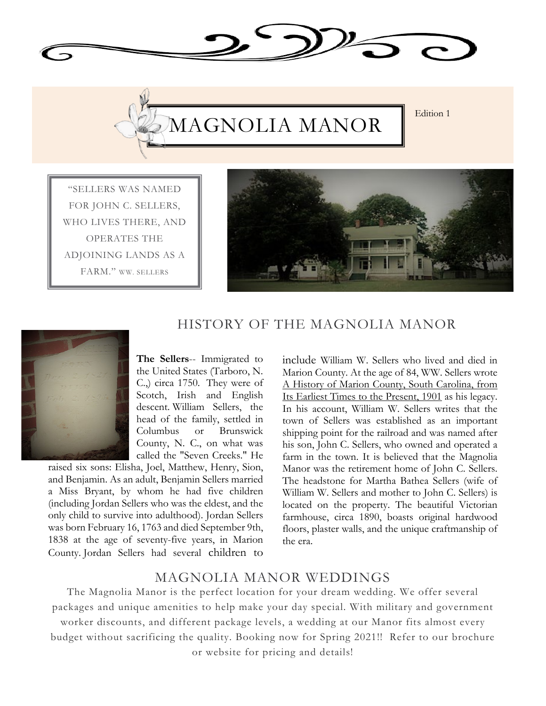



"SELLERS WAS NAMED FOR JOHN C. SELLERS, WHO LIVES THERE, AND OPERATES THE ADJOINING LANDS AS A FARM." WW. SELLERS



## HISTORY OF THE MAGNOLIA MANOR



**The Sellers**-- Immigrated to the United States (Tarboro, N. C.,) circa 1750. They were of Scotch, Irish and English descent. William Sellers, the head of the family, settled in Columbus or Brunswick County, N. C., on what was called the "Seven Creeks." He

raised six sons: Elisha, Joel, Matthew, Henry, Sion, and Benjamin. As an adult, Benjamin Sellers married a Miss Bryant, by whom he had five children (including Jordan Sellers who was the eldest, and the only child to survive into adulthood). Jordan Sellers was born February 16, 1763 and died September 9th, 1838 at the age of seventy-five years, in Marion County. Jordan Sellers had several children to

include William W. Sellers who lived and died in Marion County. At the age of 84, WW. Sellers wrote A History of Marion County, South Carolina, from Its Earliest Times to the Present, 1901 as his legacy. In his account, William W. Sellers writes that the town of Sellers was established as an important shipping point for the railroad and was named after his son, John C. Sellers, who owned and operated a farm in the town. It is believed that the Magnolia Manor was the retirement home of John C. Sellers. The headstone for Martha Bathea Sellers (wife of William W. Sellers and mother to John C. Sellers) is located on the property. The beautiful Victorian farmhouse, circa 1890, boasts original hardwood floors, plaster walls, and the unique craftmanship of the era.

## MAGNOLIA MANOR WEDDINGS

The Magnolia Manor is the perfect location for your dream wedding. We offer several packages and unique amenities to help make your day special. With military and government

worker discounts, and different package levels, a wedding at our Manor fits almost every budget without sacrificing the quality. Booking now for Spring 2021!! Refer to our brochure or website for pricing and details!